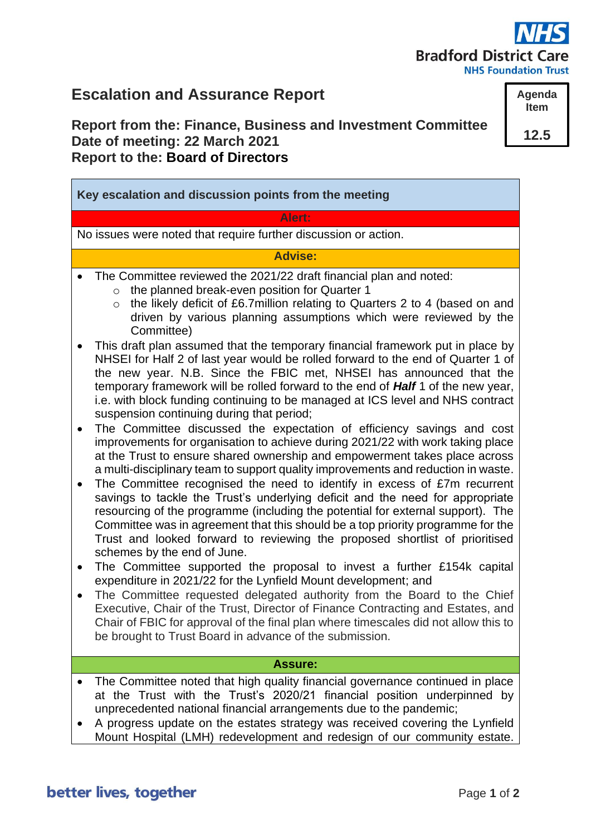# **Bradford District Care**

**NHS Foundation Trust** 

## **Escalation and Assurance Report**

## **Report from the: Finance, Business and Investment Committee Date of meeting: 22 March 2021 Report to the: Board of Directors**

**Agenda Item**

**12.5**

**Key escalation and discussion points from the meeting Alert:** No issues were noted that require further discussion or action. **Advise:** The Committee reviewed the 2021/22 draft financial plan and noted: o the planned break-even position for Quarter 1 o the likely deficit of £6.7million relating to Quarters 2 to 4 (based on and driven by various planning assumptions which were reviewed by the Committee) • This draft plan assumed that the temporary financial framework put in place by NHSEI for Half 2 of last year would be rolled forward to the end of Quarter 1 of the new year. N.B. Since the FBIC met, NHSEI has announced that the temporary framework will be rolled forward to the end of *Half* 1 of the new year, i.e. with block funding continuing to be managed at ICS level and NHS contract suspension continuing during that period; • The Committee discussed the expectation of efficiency savings and cost improvements for organisation to achieve during 2021/22 with work taking place at the Trust to ensure shared ownership and empowerment takes place across a multi-disciplinary team to support quality improvements and reduction in waste. • The Committee recognised the need to identify in excess of £7m recurrent savings to tackle the Trust's underlying deficit and the need for appropriate resourcing of the programme (including the potential for external support). The Committee was in agreement that this should be a top priority programme for the Trust and looked forward to reviewing the proposed shortlist of prioritised schemes by the end of June. • The Committee supported the proposal to invest a further £154k capital expenditure in 2021/22 for the Lynfield Mount development; and • The Committee requested delegated authority from the Board to the Chief Executive, Chair of the Trust, Director of Finance Contracting and Estates, and Chair of FBIC for approval of the final plan where timescales did not allow this to be brought to Trust Board in advance of the submission. **Assure:** • The Committee noted that high quality financial governance continued in place at the Trust with the Trust's 2020/21 financial position underpinned by unprecedented national financial arrangements due to the pandemic; • A progress update on the estates strategy was received covering the Lynfield Mount Hospital (LMH) redevelopment and redesign of our community estate.